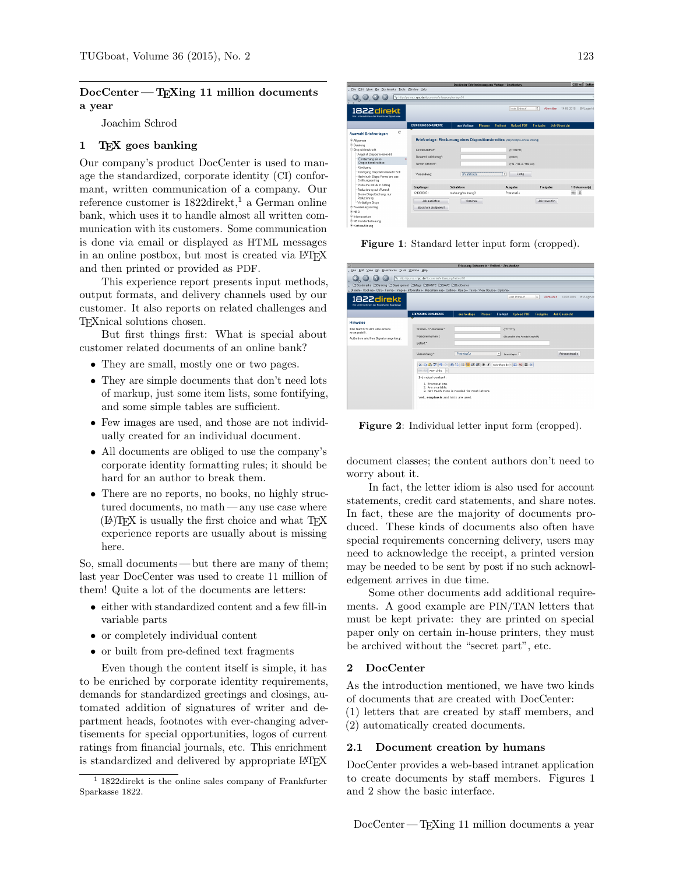# $DocCenter - TrXing 11 million documents$ a year

Joachim Schrod

# 1 TEX goes banking

Our company's product DocCenter is used to manage the standardized, corporate identity (CI) conformant, written communication of a company. Our reference customer is 1822direkt, <sup>1</sup> a German online bank, which uses it to handle almost all written communication with its customers. Some communication is done via email or displayed as HTML messages in an online postbox, but most is created via LAT<sub>EX</sub> and then printed or provided as PDF.

This experience report presents input methods, output formats, and delivery channels used by our customer. It also reports on related challenges and TEXnical solutions chosen.

But first things first: What is special about customer related documents of an online bank?

- They are small, mostly one or two pages.
- They are simple documents that don't need lots of markup, just some item lists, some fontifying, and some simple tables are sufficient.
- Few images are used, and those are not individually created for an individual document.
- All documents are obliged to use the company's corporate identity formatting rules; it should be hard for an author to break them.
- There are no reports, no books, no highly structured documents, no math — any use case where (LA)TEX is usually the first choice and what TEX experience reports are usually about is missing here.

So, small documents — but there are many of them; last year DocCenter was used to create 11 million of them! Quite a lot of the documents are letters:

- either with standardized content and a few fill-in variable parts
- or completely individual content
- or built from pre-defined text fragments

Even though the content itself is simple, it has to be enriched by corporate identity requirements, demands for standardized greetings and closings, automated addition of signatures of writer and department heads, footnotes with ever-changing advertisements for special opportunities, logos of current ratings from financial journals, etc. This enrichment is standardized and delivered by appropriate LAT<sub>EX</sub>

| Doc Center Brieferfassung aus Vorlage - SeaMonkey<br>Ξ   |                                                                             |                               |                               |                                         |                          |  |  |  |  |  |  |  |
|----------------------------------------------------------|-----------------------------------------------------------------------------|-------------------------------|-------------------------------|-----------------------------------------|--------------------------|--|--|--|--|--|--|--|
| Eile<br>Edit View Go Bookmarks Tools Window Help         |                                                                             |                               |                               |                                         |                          |  |  |  |  |  |  |  |
|                                                          | http://puma.r.npc.de/doccenter/erfassung/vorlage?4                          |                               |                               |                                         |                          |  |  |  |  |  |  |  |
|                                                          |                                                                             |                               |                               |                                         |                          |  |  |  |  |  |  |  |
|                                                          |                                                                             |                               |                               |                                         |                          |  |  |  |  |  |  |  |
| 1822 direkt                                              |                                                                             |                               | kein Entwurf                  | $\ddot{\circ}$<br><b>Abmelden</b>       | 14.09.2015<br>BVLogin-Id |  |  |  |  |  |  |  |
| Fin Urternehmen der Frankfurter Snarkasse                |                                                                             |                               |                               |                                         |                          |  |  |  |  |  |  |  |
|                                                          |                                                                             |                               |                               |                                         |                          |  |  |  |  |  |  |  |
|                                                          | <b>FREASSUNG DOKUMENTE</b>                                                  | aus Vorlage<br><b>Phraser</b> | Freitext<br><b>Upload PDF</b> | <b>Job-Übersicht</b><br><b>Freigabe</b> |                          |  |  |  |  |  |  |  |
| C <sup>4</sup><br><b>Auswahl Briefvorlagen</b>           |                                                                             |                               |                               |                                         |                          |  |  |  |  |  |  |  |
|                                                          |                                                                             |                               |                               |                                         |                          |  |  |  |  |  |  |  |
| <b>E Algemein</b>                                        | Briefvorlage: Einräumung eines Dispositionskredites (dspeciago-einraeumung) |                               |                               |                                         |                          |  |  |  |  |  |  |  |
| <sup>®</sup> Beratung<br><sup>B</sup> Dispositionskredit | Kontonummar*:                                                               |                               |                               |                                         |                          |  |  |  |  |  |  |  |
| Angebot Dispositionskredit                               |                                                                             |                               | (111111111)                   |                                         |                          |  |  |  |  |  |  |  |
| Einräumung eines                                         | Gesamtkreditbetrag*:                                                        |                               | (22222)                       |                                         |                          |  |  |  |  |  |  |  |
| Dispositionskredites                                     | Termin Antwort*                                                             |                               | (T.M., T.M.J.L, TTMMJJ)       |                                         |                          |  |  |  |  |  |  |  |
| Kündigung                                                |                                                                             |                               |                               |                                         |                          |  |  |  |  |  |  |  |
| Kündigung Dispositionskredit Soll                        | Versandweg                                                                  | <b>Poststraße</b>             | ⊣<br>Fertig                   |                                         |                          |  |  |  |  |  |  |  |
| Nachdruck Dispo-Formulare aus                            |                                                                             |                               |                               |                                         |                          |  |  |  |  |  |  |  |
| Eröfhungsantrag                                          |                                                                             |                               |                               |                                         |                          |  |  |  |  |  |  |  |
| Probleme mit dem Antrag                                  | Empfänger                                                                   | Schablone                     | Ausgabe                       | Freigabe                                | 1 Dokument(e)            |  |  |  |  |  |  |  |
| Reduzierung auf Wunsch<br>Stomo Dispolöschung, nur       | 124000071                                                                   | mahnung/mahnung3              | Poststraße                    |                                         | ※ 目                      |  |  |  |  |  |  |  |
| Reduzierung                                              |                                                                             |                               |                               |                                         |                          |  |  |  |  |  |  |  |
| Vorläufiger Dispo                                        | Job ausliefem                                                               | Vorschau                      |                               | Job verwerfen                           |                          |  |  |  |  |  |  |  |
| <sup>®</sup> Freistellungsantrag                         | Speichern als Entwurf                                                       |                               |                               |                                         |                          |  |  |  |  |  |  |  |
| <b>E-HBCI</b>                                            |                                                                             |                               |                               |                                         |                          |  |  |  |  |  |  |  |
| * Interessenten                                          |                                                                             |                               |                               |                                         |                          |  |  |  |  |  |  |  |
| <sup>(8)</sup> KB Kundenbetreuung                        |                                                                             |                               |                               |                                         |                          |  |  |  |  |  |  |  |
|                                                          |                                                                             |                               |                               |                                         |                          |  |  |  |  |  |  |  |

Figure 1: Standard letter input form (cropped).

| ⊫                                                                                                               |                                                                                                                                                     | Erfassung Dokumente - Freitext - SeaMonkey |         |              |                                    |                    |                      |            |
|-----------------------------------------------------------------------------------------------------------------|-----------------------------------------------------------------------------------------------------------------------------------------------------|--------------------------------------------|---------|--------------|------------------------------------|--------------------|----------------------|------------|
| Eile Edit View Go Bookmarks Tools Window Help                                                                   |                                                                                                                                                     |                                            |         |              |                                    |                    |                      |            |
| $Q_{\alpha} Q_{\alpha}$<br>σ                                                                                    | http://puma.r.npc.de/doccenter/erfassung/freitext?8                                                                                                 |                                            |         |              |                                    |                    |                      |            |
| C'Bookmarks C'Banking C'Owelopment C'Mags C'OANTE C'ISAVE C'OocCenter                                           |                                                                                                                                                     |                                            |         |              |                                    |                    |                      |            |
| Disable- Cookies- CSS- Forms- Images- Information- Miscellaneous- Outline- Resize- Tools- View Source- Options- |                                                                                                                                                     |                                            |         |              |                                    |                    |                      |            |
| 1822 direkt<br>Ein Unternehmen der Frankfurter Sparkasse                                                        |                                                                                                                                                     |                                            |         |              | kein Erowurf                       | $\hat{\mathbf{v}}$ | Abmelden 14.09.2015  | BVLogin-In |
|                                                                                                                 | <b>ERFASSUNG DOKUMENTE</b>                                                                                                                          | aus Vorlage                                | Phraser | Freitext     | <b>Upload PDF</b>                  | <b>Freigabe</b>    | <b>Job-Übersicht</b> |            |
| Hinweise                                                                                                        |                                                                                                                                                     |                                            |         |              |                                    |                    |                      |            |
| Ihrer Nachricht wird eine Anrede<br>vorangestellt.                                                              | Stamm, / F.Nummar*<br>Personennummer                                                                                                                |                                            |         | 7777777      | (für persönliche Annede/Ansahrift) |                    |                      |            |
| Außerdem wird Ihre Signatur angehängt.                                                                          | Betreff.*                                                                                                                                           |                                            |         |              |                                    |                    |                      |            |
|                                                                                                                 | Versandweg:*                                                                                                                                        | Poststraße                                 |         | $\mathbf{r}$ | Oreck Keple:                       |                    | Adresseingabe        |            |
|                                                                                                                 | X のあマクト A 等 日信保保 B I Schnepster Ω 図 = α<br>so call PDF-Links =                                                                                      |                                            |         |              |                                    |                    |                      |            |
|                                                                                                                 | Individual content.<br>1. Fournetations.<br>2. Are available.<br>3. Not much more is needed for most letters.<br>Well, emphasis and hints are used. |                                            |         |              |                                    |                    |                      |            |

Figure 2: Individual letter input form (cropped).

document classes; the content authors don't need to worry about it.

In fact, the letter idiom is also used for account statements, credit card statements, and share notes. In fact, these are the majority of documents produced. These kinds of documents also often have special requirements concerning delivery, users may need to acknowledge the receipt, a printed version may be needed to be sent by post if no such acknowledgement arrives in due time.

Some other documents add additional requirements. A good example are PIN/TAN letters that must be kept private: they are printed on special paper only on certain in-house printers, they must be archived without the "secret part", etc.

### 2 DocCenter

As the introduction mentioned, we have two kinds of documents that are created with DocCenter:

(1) letters that are created by staff members, and (2) automatically created documents.

#### 2.1 Document creation by humans

DocCenter provides a web-based intranet application to create documents by staff members. Figures 1 and 2 show the basic interface.

<sup>1</sup> 1822direkt is the online sales company of Frankfurter Sparkasse 1822.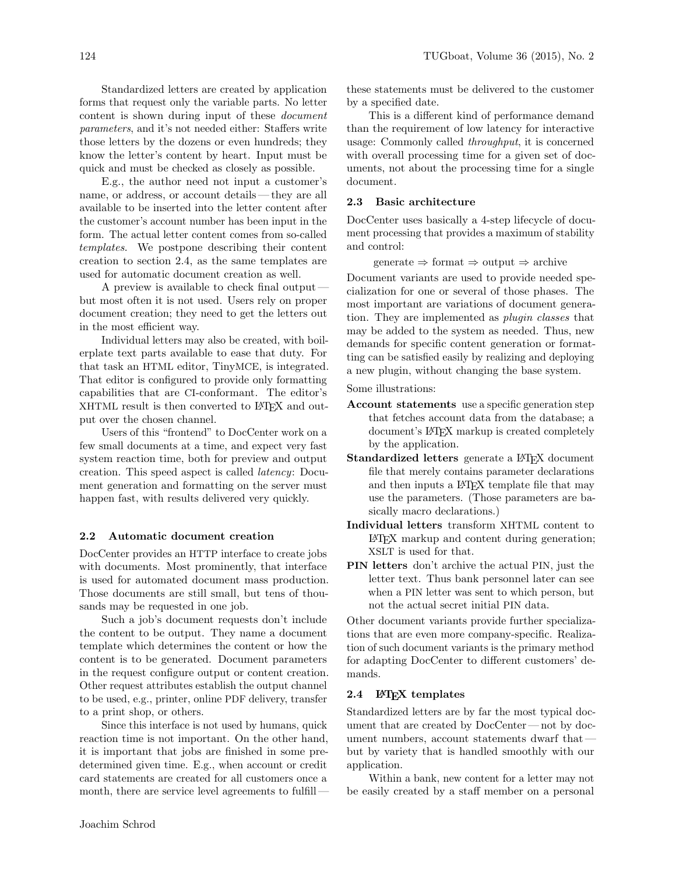Standardized letters are created by application forms that request only the variable parts. No letter content is shown during input of these document parameters, and it's not needed either: Staffers write those letters by the dozens or even hundreds; they know the letter's content by heart. Input must be quick and must be checked as closely as possible.

E.g., the author need not input a customer's name, or address, or account details— they are all available to be inserted into the letter content after the customer's account number has been input in the form. The actual letter content comes from so-called templates. We postpone describing their content creation to section 2.4, as the same templates are used for automatic document creation as well.

A preview is available to check final output but most often it is not used. Users rely on proper document creation; they need to get the letters out in the most efficient way.

Individual letters may also be created, with boilerplate text parts available to ease that duty. For that task an HTML editor, TinyMCE, is integrated. That editor is configured to provide only formatting capabilities that are CI-conformant. The editor's XHTML result is then converted to IATEX and output over the chosen channel.

Users of this "frontend" to DocCenter work on a few small documents at a time, and expect very fast system reaction time, both for preview and output creation. This speed aspect is called latency: Document generation and formatting on the server must happen fast, with results delivered very quickly.

#### 2.2 Automatic document creation

DocCenter provides an HTTP interface to create jobs with documents. Most prominently, that interface is used for automated document mass production. Those documents are still small, but tens of thousands may be requested in one job.

Such a job's document requests don't include the content to be output. They name a document template which determines the content or how the content is to be generated. Document parameters in the request configure output or content creation. Other request attributes establish the output channel to be used, e.g., printer, online PDF delivery, transfer to a print shop, or others.

Since this interface is not used by humans, quick reaction time is not important. On the other hand, it is important that jobs are finished in some predetermined given time. E.g., when account or credit card statements are created for all customers once a month, there are service level agreements to fulfillthese statements must be delivered to the customer by a specified date.

This is a different kind of performance demand than the requirement of low latency for interactive usage: Commonly called throughput, it is concerned with overall processing time for a given set of documents, not about the processing time for a single document.

## 2.3 Basic architecture

DocCenter uses basically a 4-step lifecycle of document processing that provides a maximum of stability and control:

generate  $\Rightarrow$  format  $\Rightarrow$  output  $\Rightarrow$  archive

Document variants are used to provide needed specialization for one or several of those phases. The most important are variations of document generation. They are implemented as plugin classes that may be added to the system as needed. Thus, new demands for specific content generation or formatting can be satisfied easily by realizing and deploying a new plugin, without changing the base system.

Some illustrations:

- Account statements use a specific generation step that fetches account data from the database; a document's LATEX markup is created completely by the application.
- Standardized letters generate a L<sup>AT</sup>EX document file that merely contains parameter declarations and then inputs a LAT<sub>EX</sub> template file that may use the parameters. (Those parameters are basically macro declarations.)
- Individual letters transform XHTML content to LATEX markup and content during generation; XSLT is used for that.
- PIN letters don't archive the actual PIN, just the letter text. Thus bank personnel later can see when a PIN letter was sent to which person, but not the actual secret initial PIN data.

Other document variants provide further specializations that are even more company-specific. Realization of such document variants is the primary method for adapting DocCenter to different customers' demands.

### 2.4 **LATEX** templates

Standardized letters are by far the most typical document that are created by DocCenter — not by document numbers, account statements dwarf that but by variety that is handled smoothly with our application.

Within a bank, new content for a letter may not be easily created by a staff member on a personal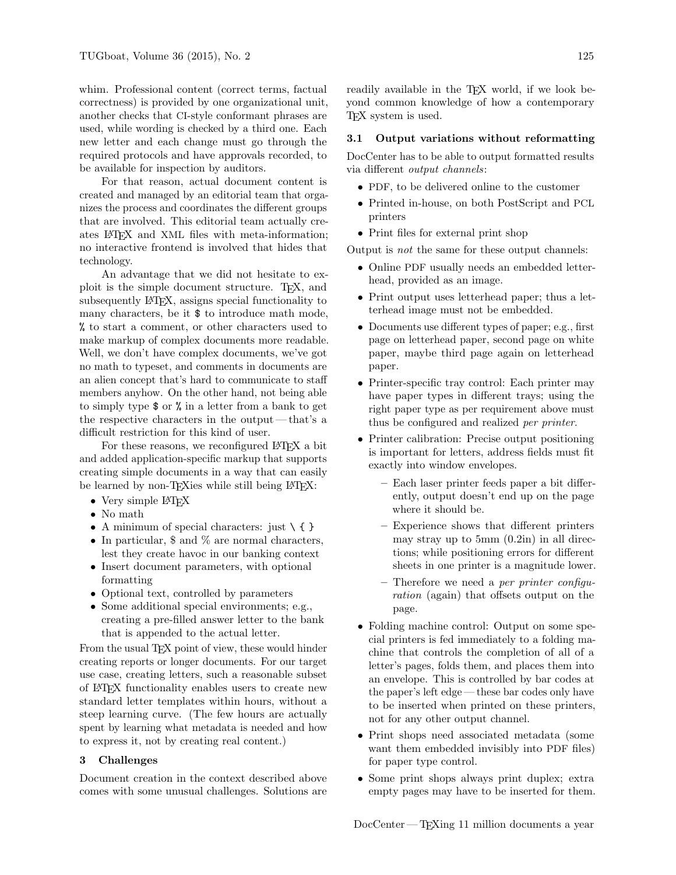whim. Professional content (correct terms, factual correctness) is provided by one organizational unit, another checks that CI-style conformant phrases are used, while wording is checked by a third one. Each new letter and each change must go through the required protocols and have approvals recorded, to be available for inspection by auditors.

For that reason, actual document content is created and managed by an editorial team that organizes the process and coordinates the different groups that are involved. This editorial team actually creates LATEX and XML files with meta-information; no interactive frontend is involved that hides that technology.

An advantage that we did not hesitate to exploit is the simple document structure. TEX, and subsequently LATEX, assigns special functionality to many characters, be it \$ to introduce math mode, % to start a comment, or other characters used to make markup of complex documents more readable. Well, we don't have complex documents, we've got no math to typeset, and comments in documents are an alien concept that's hard to communicate to staff members anyhow. On the other hand, not being able to simply type \$ or % in a letter from a bank to get the respective characters in the output— that's a difficult restriction for this kind of user.

For these reasons, we reconfigured LAT<sub>EX</sub> a bit and added application-specific markup that supports creating simple documents in a way that can easily be learned by non-TEXies while still being LATEX:

- Very simple L<sup>AT</sup>FX
- No math
- A minimum of special characters: just  $\setminus \{\}$
- In particular, \$ and % are normal characters, lest they create havoc in our banking context
- Insert document parameters, with optional formatting
- Optional text, controlled by parameters
- Some additional special environments; e.g., creating a pre-filled answer letter to the bank that is appended to the actual letter.

From the usual TEX point of view, these would hinder creating reports or longer documents. For our target use case, creating letters, such a reasonable subset of LATEX functionality enables users to create new standard letter templates within hours, without a steep learning curve. (The few hours are actually spent by learning what metadata is needed and how to express it, not by creating real content.)

### 3 Challenges

Document creation in the context described above comes with some unusual challenges. Solutions are

readily available in the T<sub>EX</sub> world, if we look beyond common knowledge of how a contemporary TEX system is used.

### 3.1 Output variations without reformatting

DocCenter has to be able to output formatted results via different output channels:

- PDF, to be delivered online to the customer
- Printed in-house, on both PostScript and PCL printers
- Print files for external print shop

Output is not the same for these output channels:

- Online PDF usually needs an embedded letterhead, provided as an image.
- Print output uses letterhead paper; thus a letterhead image must not be embedded.
- Documents use different types of paper; e.g., first page on letterhead paper, second page on white paper, maybe third page again on letterhead paper.
- Printer-specific tray control: Each printer may have paper types in different trays; using the right paper type as per requirement above must thus be configured and realized per printer.
- Printer calibration: Precise output positioning is important for letters, address fields must fit exactly into window envelopes.
	- Each laser printer feeds paper a bit differently, output doesn't end up on the page where it should be.
	- Experience shows that different printers may stray up to 5mm (0.2in) in all directions; while positioning errors for different sheets in one printer is a magnitude lower.
	- Therefore we need a per printer configuration (again) that offsets output on the page.
- Folding machine control: Output on some special printers is fed immediately to a folding machine that controls the completion of all of a letter's pages, folds them, and places them into an envelope. This is controlled by bar codes at the paper's left edge — these bar codes only have to be inserted when printed on these printers, not for any other output channel.
- Print shops need associated metadata (some want them embedded invisibly into PDF files) for paper type control.
- Some print shops always print duplex; extra empty pages may have to be inserted for them.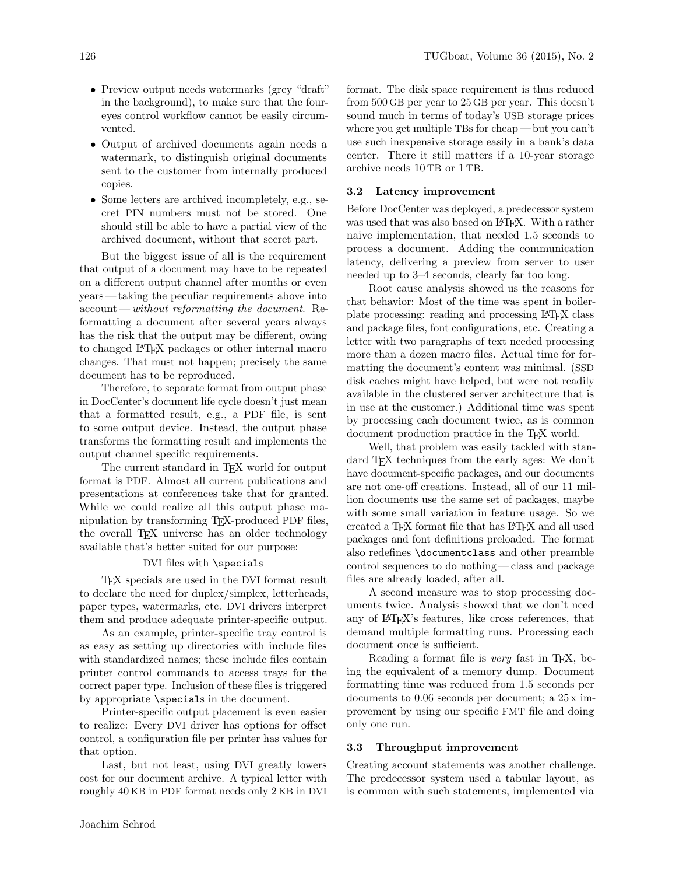- Preview output needs watermarks (grey "draft" in the background), to make sure that the foureyes control workflow cannot be easily circumvented.
- Output of archived documents again needs a watermark, to distinguish original documents sent to the customer from internally produced copies.
- Some letters are archived incompletely, e.g., secret PIN numbers must not be stored. One should still be able to have a partial view of the archived document, without that secret part.

But the biggest issue of all is the requirement that output of a document may have to be repeated on a different output channel after months or even years — taking the peculiar requirements above into account—without reformatting the document. Reformatting a document after several years always has the risk that the output may be different, owing to changed LATEX packages or other internal macro changes. That must not happen; precisely the same document has to be reproduced.

Therefore, to separate format from output phase in DocCenter's document life cycle doesn't just mean that a formatted result, e.g., a PDF file, is sent to some output device. Instead, the output phase transforms the formatting result and implements the output channel specific requirements.

The current standard in TEX world for output format is PDF. Almost all current publications and presentations at conferences take that for granted. While we could realize all this output phase manipulation by transforming TEX-produced PDF files, the overall T<sub>E</sub>X universe has an older technology available that's better suited for our purpose:

## DVI files with \specials

TEX specials are used in the DVI format result to declare the need for duplex/simplex, letterheads, paper types, watermarks, etc. DVI drivers interpret them and produce adequate printer-specific output.

As an example, printer-specific tray control is as easy as setting up directories with include files with standardized names; these include files contain printer control commands to access trays for the correct paper type. Inclusion of these files is triggered by appropriate \specials in the document.

Printer-specific output placement is even easier to realize: Every DVI driver has options for offset control, a configuration file per printer has values for that option.

Last, but not least, using DVI greatly lowers cost for our document archive. A typical letter with roughly 40 KB in PDF format needs only 2 KB in DVI format. The disk space requirement is thus reduced from 500 GB per year to 25 GB per year. This doesn't sound much in terms of today's USB storage prices where you get multiple TBs for cheap — but you can't use such inexpensive storage easily in a bank's data center. There it still matters if a 10-year storage archive needs 10 TB or 1 TB.

#### 3.2 Latency improvement

Before DocCenter was deployed, a predecessor system was used that was also based on IATEX. With a rather naive implementation, that needed 1.5 seconds to process a document. Adding the communication latency, delivering a preview from server to user needed up to 3–4 seconds, clearly far too long.

Root cause analysis showed us the reasons for that behavior: Most of the time was spent in boilerplate processing: reading and processing LATEX class and package files, font configurations, etc. Creating a letter with two paragraphs of text needed processing more than a dozen macro files. Actual time for formatting the document's content was minimal. (SSD disk caches might have helped, but were not readily available in the clustered server architecture that is in use at the customer.) Additional time was spent by processing each document twice, as is common document production practice in the TEX world.

Well, that problem was easily tackled with standard T<sub>EX</sub> techniques from the early ages: We don't have document-specific packages, and our documents are not one-off creations. Instead, all of our 11 million documents use the same set of packages, maybe with some small variation in feature usage. So we created a TEX format file that has LATEX and all used packages and font definitions preloaded. The format also redefines \documentclass and other preamble control sequences to do nothing — class and package files are already loaded, after all.

A second measure was to stop processing documents twice. Analysis showed that we don't need any of LATEX's features, like cross references, that demand multiple formatting runs. Processing each document once is sufficient.

Reading a format file is *very* fast in T<sub>E</sub>X, being the equivalent of a memory dump. Document formatting time was reduced from 1.5 seconds per documents to 0.06 seconds per document; a 25 x improvement by using our specific FMT file and doing only one run.

### 3.3 Throughput improvement

Creating account statements was another challenge. The predecessor system used a tabular layout, as is common with such statements, implemented via